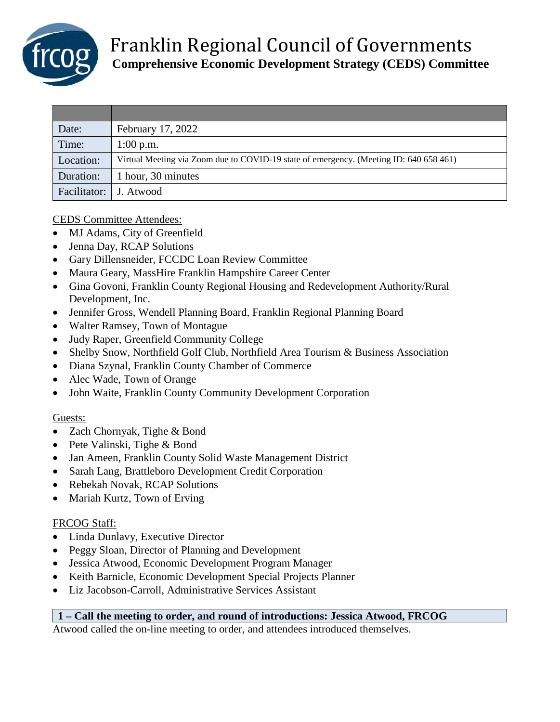

| Date:                    | February 17, 2022                                                                      |
|--------------------------|----------------------------------------------------------------------------------------|
| Time:                    | $1:00$ p.m.                                                                            |
| Location:                | Virtual Meeting via Zoom due to COVID-19 state of emergency. (Meeting ID: 640 658 461) |
| Duration:                | 1 hour, 30 minutes                                                                     |
| Facilitator:   J. Atwood |                                                                                        |

## CEDS Committee Attendees:

- MJ Adams, City of Greenfield
- Jenna Day, RCAP Solutions
- Gary Dillensneider, FCCDC Loan Review Committee
- Maura Geary, MassHire Franklin Hampshire Career Center
- Gina Govoni, Franklin County Regional Housing and Redevelopment Authority/Rural Development, Inc.
- Jennifer Gross, Wendell Planning Board, Franklin Regional Planning Board
- Walter Ramsey, Town of Montague
- Judy Raper, Greenfield Community College
- Shelby Snow, Northfield Golf Club, Northfield Area Tourism & Business Association
- Diana Szynal, Franklin County Chamber of Commerce
- Alec Wade, Town of Orange
- John Waite, Franklin County Community Development Corporation

## Guests:

- Zach Chornyak, Tighe & Bond
- Pete Valinski, Tighe & Bond
- Jan Ameen, Franklin County Solid Waste Management District
- Sarah Lang, Brattleboro Development Credit Corporation
- Rebekah Novak, RCAP Solutions
- Mariah Kurtz, Town of Erving

## FRCOG Staff:

- Linda Dunlavy, Executive Director
- Peggy Sloan, Director of Planning and Development
- Jessica Atwood, Economic Development Program Manager
- Keith Barnicle, Economic Development Special Projects Planner
- Liz Jacobson-Carroll, Administrative Services Assistant

## **1 – Call the meeting to order, and round of introductions: Jessica Atwood, FRCOG**

Atwood called the on-line meeting to order, and attendees introduced themselves.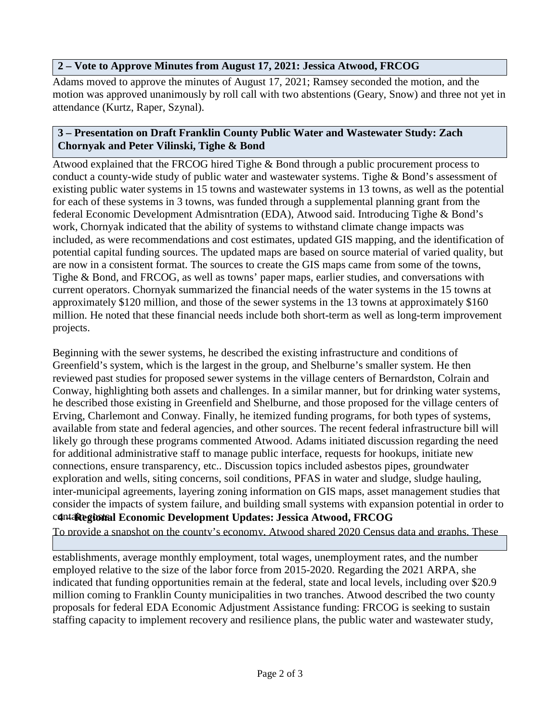## **2 – Vote to Approve Minutes from August 17, 2021: Jessica Atwood, FRCOG**

Adams moved to approve the minutes of August 17, 2021; Ramsey seconded the motion, and the motion was approved unanimously by roll call with two abstentions (Geary, Snow) and three not yet in attendance (Kurtz, Raper, Szynal).

# **3 – Presentation on Draft Franklin County Public Water and Wastewater Study: Zach Chornyak and Peter Vilinski, Tighe & Bond**

Atwood explained that the FRCOG hired Tighe & Bond through a public procurement process to conduct a county-wide study of public water and wastewater systems. Tighe & Bond's assessment of existing public water systems in 15 towns and wastewater systems in 13 towns, as well as the potential for each of these systems in 3 towns, was funded through a supplemental planning grant from the federal Economic Development Admisntration (EDA), Atwood said. Introducing Tighe & Bond's work, Chornyak indicated that the ability of systems to withstand climate change impacts was included, as were recommendations and cost estimates, updated GIS mapping, and the identification of potential capital funding sources. The updated maps are based on source material of varied quality, but are now in a consistent format. The sources to create the GIS maps came from some of the towns, Tighe & Bond, and FRCOG, as well as towns' paper maps, earlier studies, and conversations with current operators. Chornyak summarized the financial needs of the water systems in the 15 towns at approximately \$120 million, and those of the sewer systems in the 13 towns at approximately \$160 million. He noted that these financial needs include both short-term as well as long-term improvement projects.

Beginning with the sewer systems, he described the existing infrastructure and conditions of Greenfield's system, which is the largest in the group, and Shelburne's smaller system. He then reviewed past studies for proposed sewer systems in the village centers of Bernardston, Colrain and Conway, highlighting both assets and challenges. In a similar manner, but for drinking water systems, he described those existing in Greenfield and Shelburne, and those proposed for the village centers of Erving, Charlemont and Conway. Finally, he itemized funding programs, for both types of systems, available from state and federal agencies, and other sources. The recent federal infrastructure bill will likely go through these programs commented Atwood. Adams initiated discussion regarding the need for additional administrative staff to manage public interface, requests for hookups, initiate new connections, ensure transparency, etc.. Discussion topics included asbestos pipes, groundwater exploration and wells, siting concerns, soil conditions, PFAS in water and sludge, sludge hauling, inter-municipal agreements, layering zoning information on GIS maps, asset management studies that consider the impacts of system failure, and building small systems with expansion potential in order to  $c$ **4ntaRegional Economic Development Updates: Jessica Atwood, FRCOG** 

To provide a snapshot on the county's economy, Atwood shared 2020 Census data and graphs. These

indicated changes in population overall and of persons of color in recent decades, the number of

establishments, average monthly employment, total wages, unemployment rates, and the number employed relative to the size of the labor force from 2015-2020. Regarding the 2021 ARPA, she indicated that funding opportunities remain at the federal, state and local levels, including over \$20.9 million coming to Franklin County municipalities in two tranches. Atwood described the two county proposals for federal EDA Economic Adjustment Assistance funding: FRCOG is seeking to sustain staffing capacity to implement recovery and resilience plans, the public water and wastewater study,